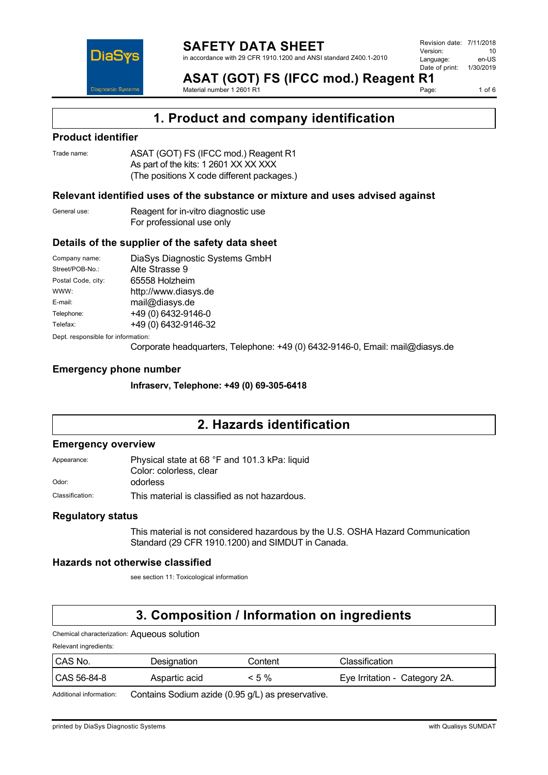

**ASAT (GOT) FS (IFCC mod.) Reagent R1**<br>Material number 1 2601 R1 Material number 1 2601 R1

1 of  $6$ 

## **1. Product and company identification**

### **Product identifier**

Trade name: **ASAT (GOT) FS (IFCC mod.) Reagent R1** As part of the kits: 1 2601 XX XX XXX (The positions X code different packages.)

### **Relevant identified uses of the substance or mixture and uses advised against**

| General use: | Reagent for in-vitro diagnostic use |
|--------------|-------------------------------------|
|              | For professional use only           |

### **Details of the supplier of the safety data sheet**

| Company name:                      | DiaSys Diagnostic Systems GmbH |  |
|------------------------------------|--------------------------------|--|
| Street/POB-No.:                    | Alte Strasse 9                 |  |
| Postal Code, city:                 | 65558 Holzheim                 |  |
| WWW:                               | http://www.diasys.de           |  |
| E-mail:                            | mail@diasys.de                 |  |
| Telephone:                         | +49 (0) 6432-9146-0            |  |
| Telefax:                           | +49 (0) 6432-9146-32           |  |
| Dept. responsible for information: |                                |  |

Corporate headquarters, Telephone: +49 (0) 6432-9146-0, Email: mail@diasys.de

### **Emergency phone number**

**Infraserv, Telephone: +49 (0) 69-305-6418**

# **2. Hazards identification**

#### **Emergency overview**

Appearance: Physical state at 68 °F and 101.3 kPa: liquid Color: colorless, clear Odor: odorless

Classification: This material is classified as not hazardous.

### **Regulatory status**

This material is not considered hazardous by the U.S. OSHA Hazard Communication Standard (29 CFR 1910.1200) and SIMDUT in Canada.

#### **Hazards not otherwise classified**

see section 11: Toxicological information

# **3. Composition / Information on ingredients**

Chemical characterization: Aqueous solution

Relevant ingredients:

| CAS No.     | Designation   | Content | Classification                |
|-------------|---------------|---------|-------------------------------|
| CAS 56-84-8 | Aspartic acid | <5%     | Eye Irritation - Category 2A. |

Additional information: Contains Sodium azide (0.95 g/L) as preservative.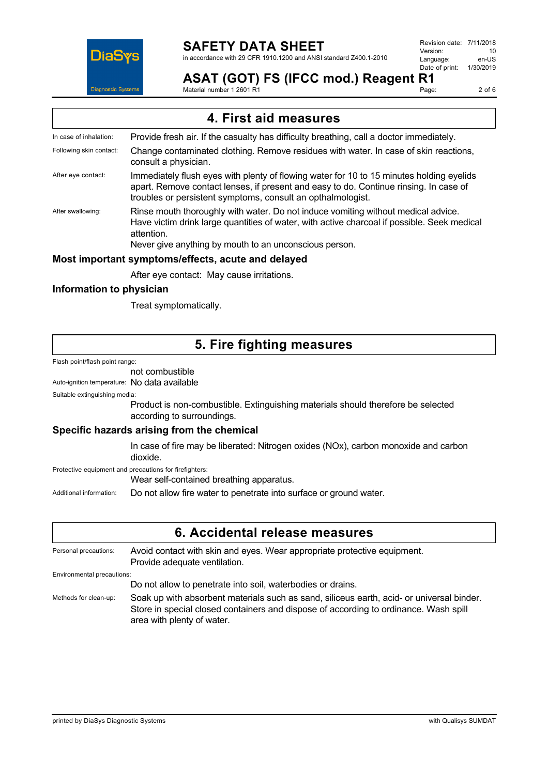

# **SAFETY DATA SHEET**

in accordance with 29 CFR 1910.1200 and ANSI standard Z400.1-2010

Revision date: 7/11/2018 Version: 10<br>I anguage: en-US Language: en-US<br>Date of print: 1/30/2019 Date of print:

# **ASAT (GOT) FS (IFCC mod.) Reagent R1**

Material number 1 2601 R1

Page: 2 of 6

## **4. First aid measures**

- In case of inhalation: Provide fresh air. If the casualty has difficulty breathing, call a doctor immediately.
- Following skin contact: Change contaminated clothing. Remove residues with water. In case of skin reactions, consult a physician.
- After eye contact: Immediately flush eyes with plenty of flowing water for 10 to 15 minutes holding eyelids apart. Remove contact lenses, if present and easy to do. Continue rinsing. In case of troubles or persistent symptoms, consult an opthalmologist.
- After swallowing: Rinse mouth thoroughly with water. Do not induce vomiting without medical advice. Have victim drink large quantities of water, with active charcoal if possible. Seek medical attention.

Never give anything by mouth to an unconscious person.

### **Most important symptoms/effects, acute and delayed**

After eye contact: May cause irritations.

## **Information to physician**

Treat symptomatically.

## **5. Fire fighting measures**

Flash point/flash point range:

not combustible

Auto-ignition temperature: No data available

Suitable extinguishing media:

Product is non-combustible. Extinguishing materials should therefore be selected according to surroundings.

### **Specific hazards arising from the chemical**

In case of fire may be liberated: Nitrogen oxides (NOx), carbon monoxide and carbon dioxide.

Protective equipment and precautions for firefighters:

Wear self-contained breathing apparatus.

Additional information: Do not allow fire water to penetrate into surface or ground water.

## **6. Accidental release measures**

Personal precautions: Avoid contact with skin and eyes. Wear appropriate protective equipment. Provide adequate ventilation.

Environmental precautions:

Do not allow to penetrate into soil, waterbodies or drains.

Methods for clean-up: Soak up with absorbent materials such as sand, siliceus earth, acid- or universal binder. Store in special closed containers and dispose of according to ordinance. Wash spill area with plenty of water.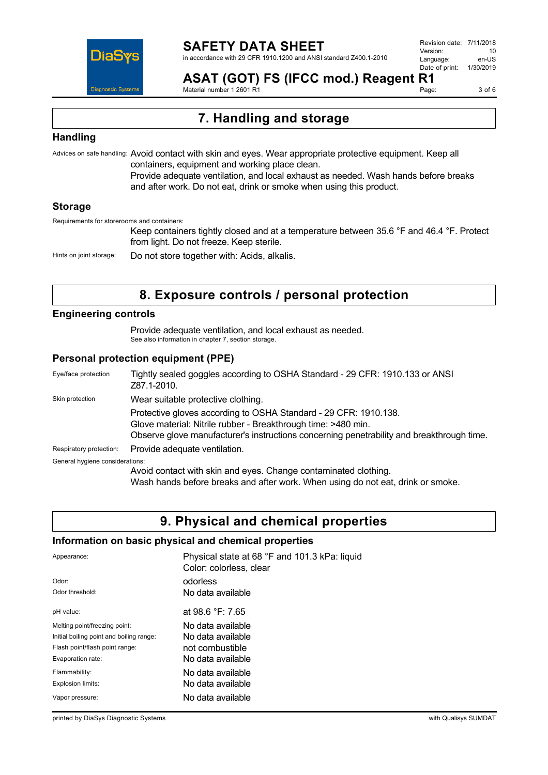

**ASAT (GOT) FS (IFCC mod.) Reagent R1** Material number 1 2601 R1

Page: 3 of 6

# **7. Handling and storage**

## **Handling**

Advices on safe handling: Avoid contact with skin and eyes. Wear appropriate protective equipment. Keep all containers, equipment and working place clean.

Provide adequate ventilation, and local exhaust as needed. Wash hands before breaks and after work. Do not eat, drink or smoke when using this product.

### **Storage**

Requirements for storerooms and containers:

Keep containers tightly closed and at a temperature between 35.6 °F and 46.4 °F. Protect from light. Do not freeze. Keep sterile.

Hints on joint storage: Do not store together with: Acids, alkalis.

# **8. Exposure controls / personal protection**

## **Engineering controls**

Provide adequate ventilation, and local exhaust as needed. See also information in chapter 7, section storage.

### **Personal protection equipment (PPE)**

| Eye/face protection             | Tightly sealed goggles according to OSHA Standard - 29 CFR: 1910.133 or ANSI<br>Z87.1-2010.                                                                                                                                    |
|---------------------------------|--------------------------------------------------------------------------------------------------------------------------------------------------------------------------------------------------------------------------------|
| Skin protection                 | Wear suitable protective clothing.                                                                                                                                                                                             |
|                                 | Protective gloves according to OSHA Standard - 29 CFR: 1910.138.<br>Glove material: Nitrile rubber - Breakthrough time: >480 min.<br>Observe glove manufacturer's instructions concerning penetrability and breakthrough time. |
| Respiratory protection:         | Provide adequate ventilation.                                                                                                                                                                                                  |
| General hygiene considerations: |                                                                                                                                                                                                                                |
|                                 | Avoid contact with skin and eyes. Change contaminated clothing.<br>March broads befour border and effectively Milcon with a dependent dutch an except                                                                          |

Wash hands before breaks and after work. When using do not eat, drink or smoke.

# **9. Physical and chemical properties**

### **Information on basic physical and chemical properties**

| Appearance:                              | Physical state at 68 °F and 101.3 kPa: liquid<br>Color: colorless, clear |
|------------------------------------------|--------------------------------------------------------------------------|
| Odor:                                    | odorless                                                                 |
| Odor threshold:                          | No data available                                                        |
| pH value:                                | at 98.6 $\degree$ F: 7.65                                                |
| Melting point/freezing point:            | No data available                                                        |
| Initial boiling point and boiling range: | No data available                                                        |
| Flash point/flash point range:           | not combustible                                                          |
| Evaporation rate:                        | No data available                                                        |
| Flammability:                            | No data available                                                        |
| Explosion limits:                        | No data available                                                        |
| Vapor pressure:                          | No data available                                                        |

printed by DiaSys Diagnostic Systems with Qualisys SUMDAT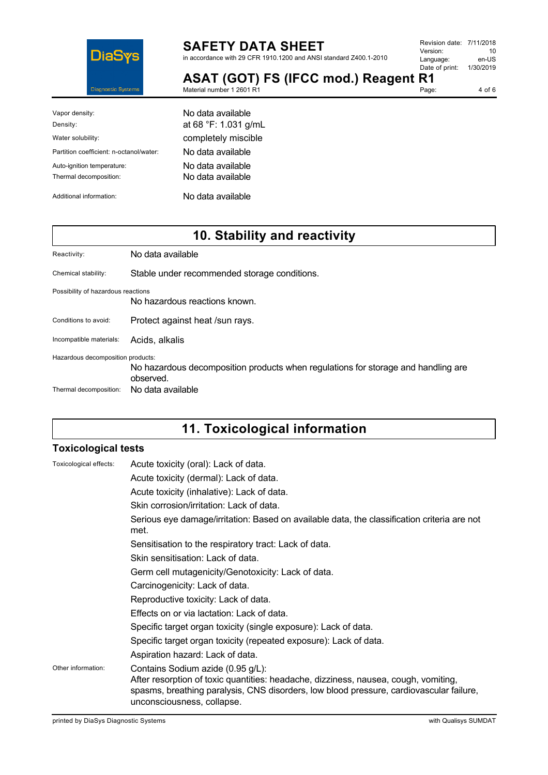

# **SAFETY DATA SHEET**

in accordance with 29 CFR 1910.1200 and ANSI standard Z400.1-2010

| Revision date: 7/11/2018 |           |
|--------------------------|-----------|
| Version:                 | 10        |
| Language:                | en-US     |
| Date of print:           | 1/30/2019 |
| - 4                      |           |

Page:

**ASAT (GOT) FS (IFCC mod.) Reagent R1** Material number 1 2601 R1

| ٠<br>n |  |
|--------|--|

| Vapor density:                          | No data available    |
|-----------------------------------------|----------------------|
| Density:                                | at 68 °F: 1.031 g/mL |
| Water solubility:                       | completely miscible  |
| Partition coefficient: n-octanol/water: | No data available    |
| Auto-ignition temperature:              | No data available    |
| Thermal decomposition:                  | No data available    |
| Additional information:                 | No data available    |

# **10. Stability and reactivity**

| Reactivity:                                                 | No data available                                                                                                   |
|-------------------------------------------------------------|---------------------------------------------------------------------------------------------------------------------|
| Chemical stability:                                         | Stable under recommended storage conditions.                                                                        |
| Possibility of hazardous reactions                          | No hazardous reactions known.                                                                                       |
| Conditions to avoid:                                        | Protect against heat /sun rays.                                                                                     |
| Incompatible materials:                                     | Acids, alkalis                                                                                                      |
| Hazardous decomposition products:<br>Thermal decomposition: | No hazardous decomposition products when regulations for storage and handling are<br>observed.<br>No data available |

# **11. Toxicological information**

### **Toxicological tests**

| Toxicological effects: | Acute toxicity (oral): Lack of data.                                                                                                                                                                                                              |
|------------------------|---------------------------------------------------------------------------------------------------------------------------------------------------------------------------------------------------------------------------------------------------|
|                        | Acute toxicity (dermal): Lack of data.                                                                                                                                                                                                            |
|                        | Acute toxicity (inhalative): Lack of data.                                                                                                                                                                                                        |
|                        | Skin corrosion/irritation: Lack of data.                                                                                                                                                                                                          |
|                        | Serious eye damage/irritation: Based on available data, the classification criteria are not<br>met.                                                                                                                                               |
|                        | Sensitisation to the respiratory tract: Lack of data.                                                                                                                                                                                             |
|                        | Skin sensitisation: Lack of data.                                                                                                                                                                                                                 |
|                        | Germ cell mutagenicity/Genotoxicity: Lack of data.                                                                                                                                                                                                |
|                        | Carcinogenicity: Lack of data.                                                                                                                                                                                                                    |
|                        | Reproductive toxicity: Lack of data.                                                                                                                                                                                                              |
|                        | Effects on or via lactation: Lack of data.                                                                                                                                                                                                        |
|                        | Specific target organ toxicity (single exposure): Lack of data.                                                                                                                                                                                   |
|                        | Specific target organ toxicity (repeated exposure): Lack of data.                                                                                                                                                                                 |
|                        | Aspiration hazard: Lack of data.                                                                                                                                                                                                                  |
| Other information:     | Contains Sodium azide (0.95 g/L):<br>After resorption of toxic quantities: headache, dizziness, nausea, cough, vomiting,<br>spasms, breathing paralysis, CNS disorders, low blood pressure, cardiovascular failure,<br>unconsciousness, collapse. |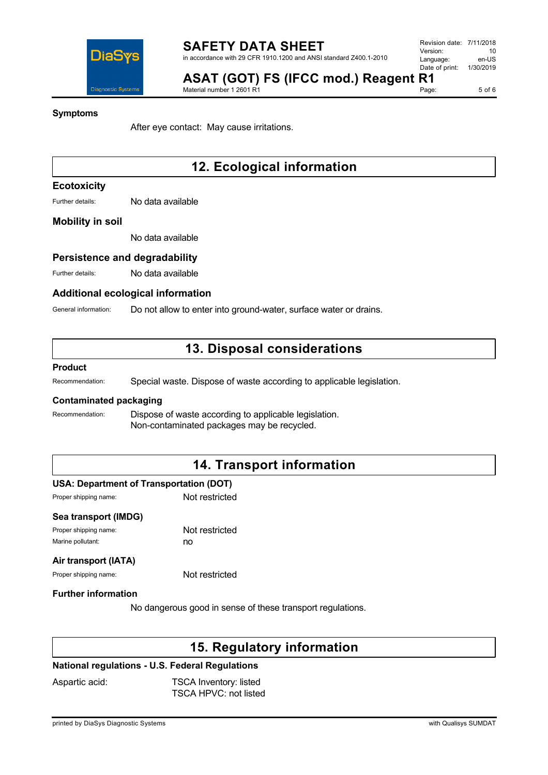

5 of 6

### **Symptoms**

After eye contact: May cause irritations.

Material number 1 2601 R1

# **12. Ecological information**

## **Ecotoxicity**

Further details: No data available

### **Mobility in soil**

No data available

## **Persistence and degradability**

Further details: No data available

### **Additional ecological information**

General information: Do not allow to enter into ground-water, surface water or drains.

## **13. Disposal considerations**

### **Product**

Recommendation: Special waste. Dispose of waste according to applicable legislation.

### **Contaminated packaging**

Recommendation: Dispose of waste according to applicable legislation. Non-contaminated packages may be recycled.

# **14. Transport information**

#### **USA: Department of Transportation (DOT)**

Proper shipping name: Not restricted

# **Sea transport (IMDG)**

Proper shipping name: Not restricted Marine pollutant: no

#### **Air transport (IATA)**

Proper shipping name: Not restricted

#### **Further information**

No dangerous good in sense of these transport regulations.

# **15. Regulatory information**

### **National regulations - U.S. Federal Regulations**

Aspartic acid: TSCA Inventory: listed TSCA HPVC: not listed